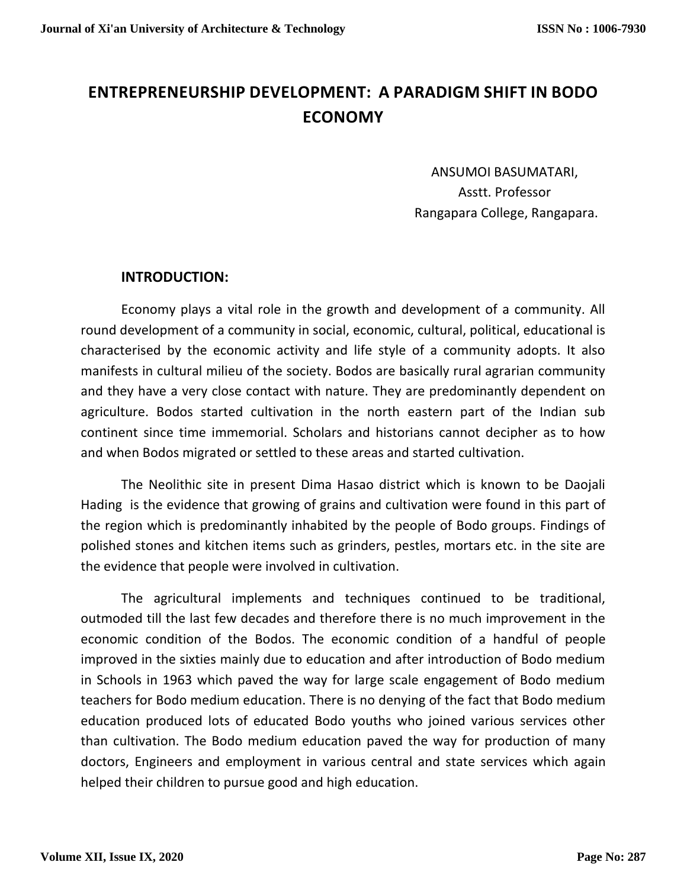# **ENTREPRENEURSHIP DEVELOPMENT: A PARADIGM SHIFT IN BODO ECONOMY**

ANSUMOI BASUMATARI, Asstt. Professor Rangapara College, Rangapara.

## **INTRODUCTION:**

Economy plays a vital role in the growth and development of a community. All round development of a community in social, economic, cultural, political, educational is characterised by the economic activity and life style of a community adopts. It also manifests in cultural milieu of the society. Bodos are basically rural agrarian community and they have a very close contact with nature. They are predominantly dependent on agriculture. Bodos started cultivation in the north eastern part of the Indian sub continent since time immemorial. Scholars and historians cannot decipher as to how and when Bodos migrated or settled to these areas and started cultivation.

The Neolithic site in present Dima Hasao district which is known to be Daojali Hading is the evidence that growing of grains and cultivation were found in this part of the region which is predominantly inhabited by the people of Bodo groups. Findings of polished stones and kitchen items such as grinders, pestles, mortars etc. in the site are the evidence that people were involved in cultivation.

The agricultural implements and techniques continued to be traditional, outmoded till the last few decades and therefore there is no much improvement in the economic condition of the Bodos. The economic condition of a handful of people improved in the sixties mainly due to education and after introduction of Bodo medium in Schools in 1963 which paved the way for large scale engagement of Bodo medium teachers for Bodo medium education. There is no denying of the fact that Bodo medium education produced lots of educated Bodo youths who joined various services other than cultivation. The Bodo medium education paved the way for production of many doctors, Engineers and employment in various central and state services which again helped their children to pursue good and high education.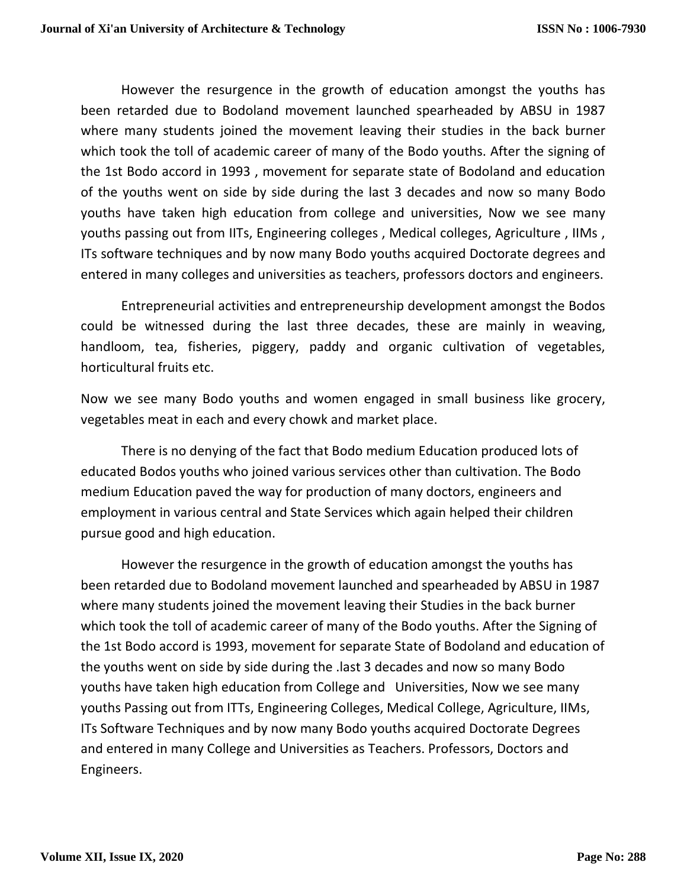However the resurgence in the growth of education amongst the youths has been retarded due to Bodoland movement launched spearheaded by ABSU in 1987 where many students joined the movement leaving their studies in the back burner which took the toll of academic career of many of the Bodo youths. After the signing of the 1st Bodo accord in 1993 , movement for separate state of Bodoland and education of the youths went on side by side during the last 3 decades and now so many Bodo youths have taken high education from college and universities, Now we see many youths passing out from IITs, Engineering colleges , Medical colleges, Agriculture , IIMs , ITs software techniques and by now many Bodo youths acquired Doctorate degrees and entered in many colleges and universities as teachers, professors doctors and engineers.

Entrepreneurial activities and entrepreneurship development amongst the Bodos could be witnessed during the last three decades, these are mainly in weaving, handloom, tea, fisheries, piggery, paddy and organic cultivation of vegetables, horticultural fruits etc.

Now we see many Bodo youths and women engaged in small business like grocery, vegetables meat in each and every chowk and market place.

There is no denying of the fact that Bodo medium Education produced lots of educated Bodos youths who joined various services other than cultivation. The Bodo medium Education paved the way for production of many doctors, engineers and employment in various central and State Services which again helped their children pursue good and high education.

However the resurgence in the growth of education amongst the youths has been retarded due to Bodoland movement launched and spearheaded by ABSU in 1987 where many students joined the movement leaving their Studies in the back burner which took the toll of academic career of many of the Bodo youths. After the Signing of the 1st Bodo accord is 1993, movement for separate State of Bodoland and education of the youths went on side by side during the .last 3 decades and now so many Bodo youths have taken high education from College and Universities, Now we see many youths Passing out from ITTs, Engineering Colleges, Medical College, Agriculture, IIMs, ITs Software Techniques and by now many Bodo youths acquired Doctorate Degrees and entered in many College and Universities as Teachers. Professors, Doctors and Engineers.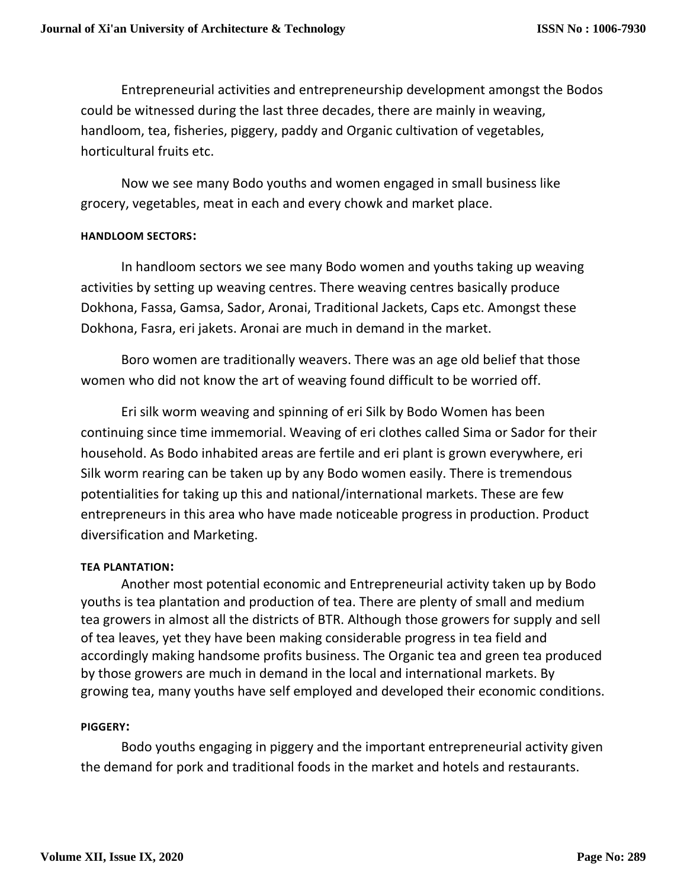Entrepreneurial activities and entrepreneurship development amongst the Bodos could be witnessed during the last three decades, there are mainly in weaving, handloom, tea, fisheries, piggery, paddy and Organic cultivation of vegetables, horticultural fruits etc.

Now we see many Bodo youths and women engaged in small business like grocery, vegetables, meat in each and every chowk and market place.

#### **HANDLOOM SECTORS:**

In handloom sectors we see many Bodo women and youths taking up weaving activities by setting up weaving centres. There weaving centres basically produce Dokhona, Fassa, Gamsa, Sador, Aronai, Traditional Jackets, Caps etc. Amongst these Dokhona, Fasra, eri jakets. Aronai are much in demand in the market.

Boro women are traditionally weavers. There was an age old belief that those women who did not know the art of weaving found difficult to be worried off.

Eri silk worm weaving and spinning of eri Silk by Bodo Women has been continuing since time immemorial. Weaving of eri clothes called Sima or Sador for their household. As Bodo inhabited areas are fertile and eri plant is grown everywhere, eri Silk worm rearing can be taken up by any Bodo women easily. There is tremendous potentialities for taking up this and national/international markets. These are few entrepreneurs in this area who have made noticeable progress in production. Product diversification and Marketing.

#### **TEA PLANTATION:**

Another most potential economic and Entrepreneurial activity taken up by Bodo youths is tea plantation and production of tea. There are plenty of small and medium tea growers in almost all the districts of BTR. Although those growers for supply and sell of tea leaves, yet they have been making considerable progress in tea field and accordingly making handsome profits business. The Organic tea and green tea produced by those growers are much in demand in the local and international markets. By growing tea, many youths have self employed and developed their economic conditions.

#### **PIGGERY:**

Bodo youths engaging in piggery and the important entrepreneurial activity given the demand for pork and traditional foods in the market and hotels and restaurants.